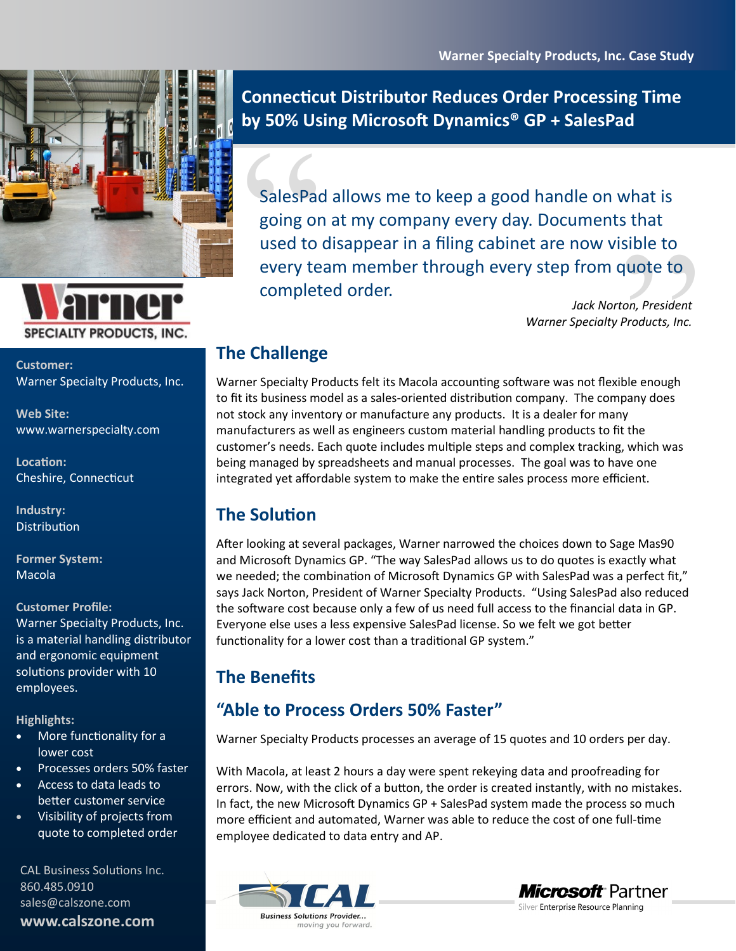



**Customer:**  Warner Specialty Products, Inc.

**Web Site:** [www.warnerspecialty.com](http://www.warnerspecialty.com)

**Location:** Cheshire, Connecticut

**Industry: Distribution** 

**Former System:**  Macola

#### **Customer Profile:**

Warner Specialty Products, Inc. is a material handling distributor and ergonomic equipment solutions provider with 10 employees.

**Highlights:**

- More functionality for a lower cost
- Processes orders 50% faster
- Access to data leads to better customer service
- Visibility of projects from quote to completed order

CAL Business Solutions Inc. 860.485.0910 sales@calszone.com **www.calszone.com**

**Connecticut Distributor Reduces Order Processing Time by 50% Using Microsoft Dynamics® GP + SalesPad**

SalesPace<br>
going or<br>
used to<br>
every te<br>
complet sible to<br>quote to<br>ton, President<br>Products, Inc.<br>ble enough<br>pany does SalesPad allows me to keep a good handle on what is going on at my company every day. Documents that used to disappear in a filing cabinet are now visible to every team member through every step from quote to completed order.

*Jack Norton, President Warner Specialty Products, Inc.*

## **The Challenge**

Warner Specialty Products felt its Macola accounting software was not flexible enough to fit its business model as a sales-oriented distribution company. The company does not stock any inventory or manufacture any products. It is a dealer for many manufacturers as well as engineers custom material handling products to fit the customer's needs. Each quote includes multiple steps and complex tracking, which was being managed by spreadsheets and manual processes. The goal was to have one integrated yet affordable system to make the entire sales process more efficient.

# **The Solution**

After looking at several packages, Warner narrowed the choices down to Sage Mas90 and Microsoft Dynamics GP. "The way SalesPad allows us to do quotes is exactly what we needed; the combination of Microsoft Dynamics GP with SalesPad was a perfect fit," says Jack Norton, President of Warner Specialty Products. "Using SalesPad also reduced the software cost because only a few of us need full access to the financial data in GP. Everyone else uses a less expensive SalesPad license. So we felt we got better functionality for a lower cost than a traditional GP system."

## **The Benefits**

## **"Able to Process Orders 50% Faster"**

Warner Specialty Products processes an average of 15 quotes and 10 orders per day.

With Macola, at least 2 hours a day were spent rekeying data and proofreading for errors. Now, with the click of a button, the order is created instantly, with no mistakes. In fact, the new Microsoft Dynamics GP + SalesPad system made the process so much more efficient and automated, Warner was able to reduce the cost of one full-time employee dedicated to data entry and AP.